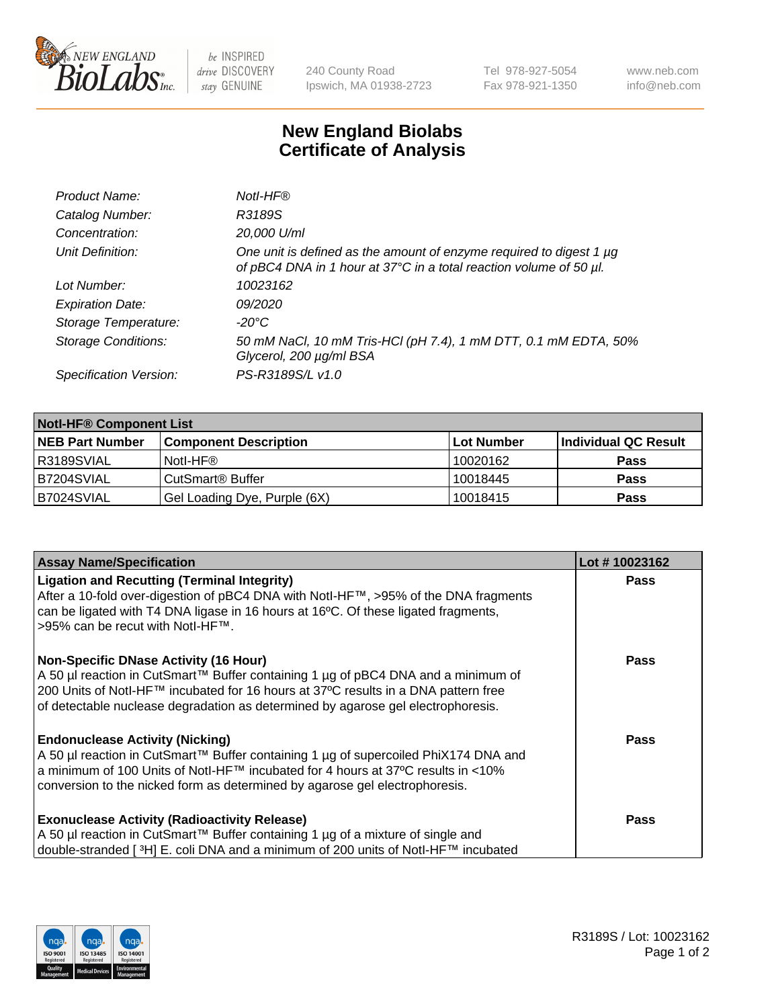

be INSPIRED drive DISCOVERY stay GENUINE

240 County Road Ipswich, MA 01938-2723 Tel 978-927-5054 Fax 978-921-1350 www.neb.com info@neb.com

## **New England Biolabs Certificate of Analysis**

| Product Name:              | Notl-HF®                                                                                                                                  |
|----------------------------|-------------------------------------------------------------------------------------------------------------------------------------------|
| Catalog Number:            | R3189S                                                                                                                                    |
| Concentration:             | 20,000 U/ml                                                                                                                               |
| Unit Definition:           | One unit is defined as the amount of enzyme required to digest 1 µg<br>of pBC4 DNA in 1 hour at 37°C in a total reaction volume of 50 µl. |
| Lot Number:                | 10023162                                                                                                                                  |
| <b>Expiration Date:</b>    | 09/2020                                                                                                                                   |
| Storage Temperature:       | $-20^{\circ}$ C                                                                                                                           |
| <b>Storage Conditions:</b> | 50 mM NaCl, 10 mM Tris-HCl (pH 7.4), 1 mM DTT, 0.1 mM EDTA, 50%<br>Glycerol, 200 µg/ml BSA                                                |
| Specification Version:     | PS-R3189S/L v1.0                                                                                                                          |

| <b>Notl-HF® Component List</b> |                                    |                   |                      |  |  |
|--------------------------------|------------------------------------|-------------------|----------------------|--|--|
| <b>NEB Part Number</b>         | <b>Component Description</b>       | <b>Lot Number</b> | Individual QC Result |  |  |
| I R3189SVIAL                   | Notl-HF®                           | 10020162          | <b>Pass</b>          |  |  |
| B7204SVIAL                     | <b>CutSmart<sup>®</sup> Buffer</b> | 10018445          | <b>Pass</b>          |  |  |
| B7024SVIAL                     | Gel Loading Dye, Purple (6X)       | 10018415          | <b>Pass</b>          |  |  |

| <b>Assay Name/Specification</b>                                                                                        | Lot #10023162 |
|------------------------------------------------------------------------------------------------------------------------|---------------|
| <b>Ligation and Recutting (Terminal Integrity)</b>                                                                     | <b>Pass</b>   |
| After a 10-fold over-digestion of pBC4 DNA with Notl-HF™, >95% of the DNA fragments                                    |               |
| can be ligated with T4 DNA ligase in 16 hours at 16°C. Of these ligated fragments,<br>>95% can be recut with Notl-HF™. |               |
|                                                                                                                        |               |
| <b>Non-Specific DNase Activity (16 Hour)</b>                                                                           | Pass          |
| A 50 µl reaction in CutSmart™ Buffer containing 1 µg of pBC4 DNA and a minimum of                                      |               |
| 200 Units of Notl-HF™ incubated for 16 hours at 37°C results in a DNA pattern free                                     |               |
| of detectable nuclease degradation as determined by agarose gel electrophoresis.                                       |               |
| <b>Endonuclease Activity (Nicking)</b>                                                                                 | <b>Pass</b>   |
| A 50 µl reaction in CutSmart™ Buffer containing 1 µg of supercoiled PhiX174 DNA and                                    |               |
| a minimum of 100 Units of Notl-HF™ incubated for 4 hours at 37°C results in <10%                                       |               |
| conversion to the nicked form as determined by agarose gel electrophoresis.                                            |               |
| <b>Exonuclease Activity (Radioactivity Release)</b>                                                                    | <b>Pass</b>   |
| A 50 µl reaction in CutSmart™ Buffer containing 1 µg of a mixture of single and                                        |               |
| double-stranded [3H] E. coli DNA and a minimum of 200 units of Notl-HF™ incubated                                      |               |